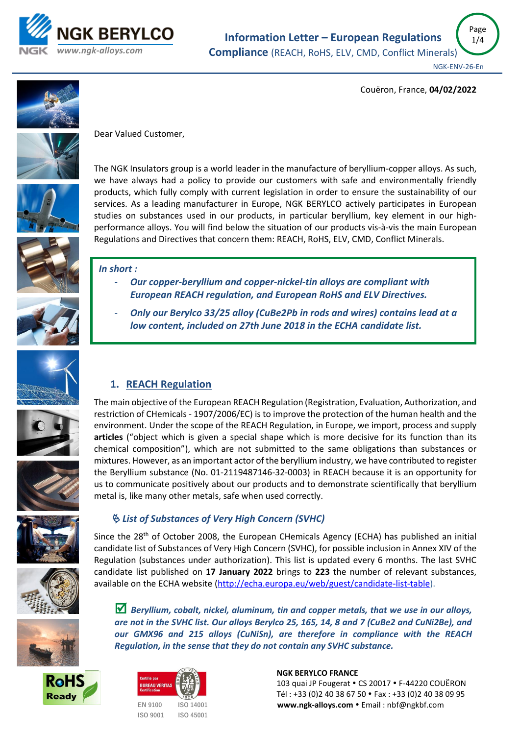

Page 1/4

Couëron, France, **04/02/2022**





Dear Valued Customer,

The NGK Insulators group is a world leader in the manufacture of beryllium-copper alloys. As such, we have always had a policy to provide our customers with safe and environmentally friendly products, which fully comply with current legislation in order to ensure the sustainability of our services. As a leading manufacturer in Europe, NGK BERYLCO actively participates in European studies on substances used in our products, in particular beryllium, key element in our highperformance alloys. You will find below the situation of our products vis-à-vis the main European Regulations and Directives that concern them: REACH, RoHS, ELV, CMD, Conflict Minerals.



# *In short :*

- *Our copper-beryllium and copper-nickel-tin alloys are compliant with European REACH regulation, and European RoHS and ELV Directives.*
- *Only our Berylco 33/25 alloy (CuBe2Pb in rods and wires) contains lead at a low content, included on 27th June 2018 in the ECHA candidate list.*













# *List of Substances of Very High Concern (SVHC)*

Since the 28<sup>th</sup> of October 2008, the European CHemicals Agency (ECHA) has published an initial candidate list of Substances of Very High Concern (SVHC), for possible inclusion in Annex XIV of the Regulation (substances under authorization). This list is updated every 6 months. The last SVHC candidate list published on **17 January 2022** brings to **223** the number of relevant substances, available on the ECHA website [\(http://echa.europa.eu/web/guest/candidate-list-table\)](http://echa.europa.eu/web/guest/candidate-list-table).

 *Beryllium, cobalt, nickel, aluminum, tin and copper metals, that we use in our alloys, are not in the SVHC list. Our alloys Berylco 25, 165, 14, 8 and 7 (CuBe2 and CuNi2Be), and our GMX96 and 215 alloys (CuNiSn), are therefore in compliance with the REACH Regulation, in the sense that they do not contain any SVHC substance.*







#### **NGK BERYLCO FRANCE**

103 quai JP Fougerat • CS 20017 • F-44220 COUËRON Tél : +33 (0)2 40 38 67 50 Fax : +33 (0)2 40 38 09 95  **[www.ngk-alloys.com](http://www.ngk-alloys.com/)** Email : nbf@ngkbf.com

# **1. REACH Regulation**

The main objective of the European REACH Regulation (Registration, Evaluation, Authorization, and restriction of CHemicals - 1907/2006/EC) is to improve the protection of the human health and the environment. Under the scope of the REACH Regulation, in Europe, we import, process and supply **articles** ("object which is given a special shape which is more decisive for its function than its chemical composition"), which are not submitted to the same obligations than substances or mixtures. However, as an important actor of the beryllium industry, we have contributed to register the Beryllium substance (No. 01-2119487146-32-0003) in REACH because it is an opportunity for us to communicate positively about our products and to demonstrate scientifically that beryllium metal is, like many other metals, safe when used correctly.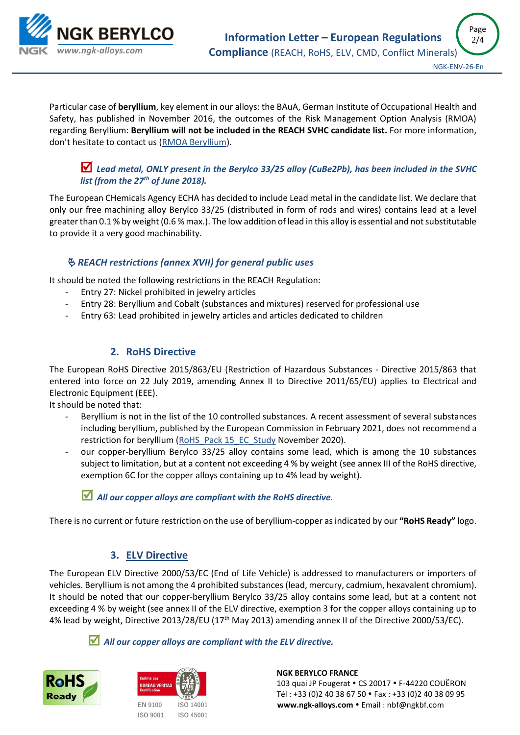

Particular case of **beryllium**, key element in our alloys: the BAuA, German Institute of Occupational Health and Safety, has published in November 2016, the outcomes of the Risk Management Option Analysis (RMOA) regarding Beryllium: **Beryllium will not be included in the REACH SVHC candidate list.** For more information, don't hesitate to contact us [\(RMOA Beryllium\)](https://echa.europa.eu/documents/10162/7958fe6e-e5f4-5691-7092-9db7f567af19).

### *Lead metal, ONLY present in the Berylco 33/25 alloy (CuBe2Pb), has been included in the SVHC list (from the 27th of June 2018).*

The European CHemicals Agency ECHA has decided to include Lead metal in the candidate list. We declare that only our free machining alloy Berylco 33/25 (distributed in form of rods and wires) contains lead at a level greater than 0.1 % by weight (0.6 % max.). The low addition of lead in this alloy is essential and not substitutable to provide it a very good machinability.

### *REACH restrictions (annex XVII) for general public uses*

It should be noted the following restrictions in the REACH Regulation:

- Entry 27: Nickel prohibited in jewelry articles
- Entry 28: Beryllium and Cobalt (substances and mixtures) reserved for professional use
- Entry 63: Lead prohibited in jewelry articles and articles dedicated to children

## **2. RoHS Directive**

The European RoHS Directive 2015/863/EU (Restriction of Hazardous Substances - Directive 2015/863 that entered into force on 22 July 2019, amending Annex II to Directive 2011/65/EU) applies to Electrical and Electronic Equipment (EEE).

It should be noted that:

- Beryllium is not in the list of the 10 controlled substances. A recent assessment of several substances including beryllium, published by the European Commission in February 2021, does not recommend a restriction for beryllium [\(RoHS\\_Pack 15\\_EC\\_Study](https://op.europa.eu/en/publication-detail/-/publication/ce50dc9c-6c19-11eb-aeb5-01aa75ed71a1/language-en/format-PDF/source-190653414.) November 2020).
- our copper-beryllium Berylco 33/25 alloy contains some lead, which is among the 10 substances subject to limitation, but at a content not exceeding 4 % by weight (see annex III of the RoHS directive, exemption 6C for the copper alloys containing up to 4% lead by weight).

#### *All our copper alloys are compliant with the RoHS directive.*

There is no current or future restriction on the use of beryllium-copper as indicated by our **"RoHS Ready"** logo.

## **3. ELV Directive**

The European ELV Directive 2000/53/EC (End of Life Vehicle) is addressed to manufacturers or importers of vehicles. Beryllium is not among the 4 prohibited substances (lead, mercury, cadmium, hexavalent chromium). It should be noted that our copper-beryllium Berylco 33/25 alloy contains some lead, but at a content not exceeding 4 % by weight (see annex II of the ELV directive, exemption 3 for the copper alloys containing up to 4% lead by weight, Directive 2013/28/EU (17<sup>th</sup> May 2013) amending annex II of the Directive 2000/53/EC).

#### *All our copper alloys are compliant with the ELV directive.*





**ISO 9001 ISO 45001**

#### **NGK BERYLCO FRANCE**

103 quai JP Fougerat • CS 20017 • F-44220 COUËRON Tél : +33 (0)2 40 38 67 50 Fax : +33 (0)2 40 38 09 95  **[www.ngk-alloys.com](http://www.ngk-alloys.com/)** Email : nbf@ngkbf.com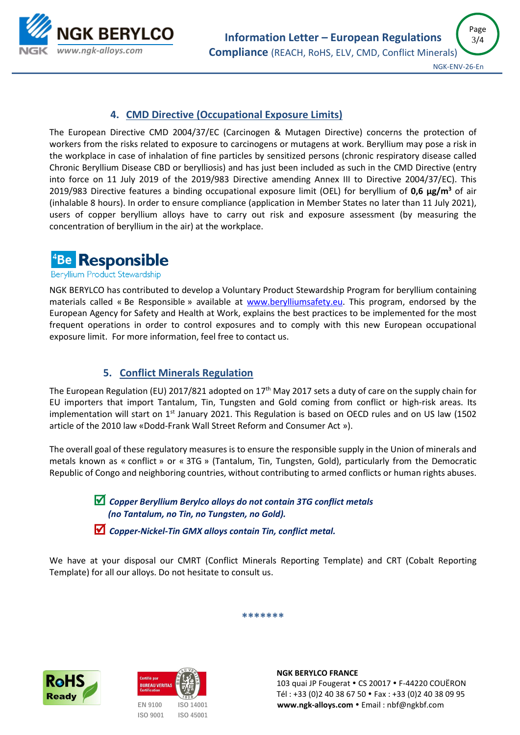

# **4. CMD Directive (Occupational Exposure Limits)**

The European Directive CMD 2004/37/EC (Carcinogen & Mutagen Directive) concerns the protection of workers from the risks related to exposure to carcinogens or mutagens at work. Beryllium may pose a risk in the workplace in case of inhalation of fine particles by sensitized persons (chronic respiratory disease called Chronic Beryllium Disease CBD or berylliosis) and has just been included as such in the CMD Directive (entry into force on 11 July 2019 of the 2019/983 Directive amending Annex III to Directive 2004/37/EC). This 2019/983 Directive features a binding occupational exposure limit (OEL) for beryllium of **0,6 µg/m<sup>3</sup>** of air (inhalable 8 hours). In order to ensure compliance (application in Member States no later than 11 July 2021), users of copper beryllium alloys have to carry out risk and exposure assessment (by measuring the concentration of beryllium in the air) at the workplace.



Beryllium Product Stewardship

NGK BERYLCO has contributed to develop a Voluntary Product Stewardship Program for beryllium containing materials called « Be Responsible » available at [www.berylliumsafety.eu.](http://www.berylliumsafety.eu/) This program, endorsed by the European Agency for Safety and Health at Work, explains the best practices to be implemented for the most frequent operations in order to control exposures and to comply with this new European occupational exposure limit. For more information, feel free to contact us.

## **5. Conflict Minerals Regulation**

The European Regulation (EU) 2017/821 adopted on 17<sup>th</sup> May 2017 sets a duty of care on the supply chain for EU importers that import Tantalum, Tin, Tungsten and Gold coming from conflict or high-risk areas. Its implementation will start on  $1<sup>st</sup>$  January 2021. This Regulation is based on OECD rules and on US law (1502 article of the 2010 law «Dodd-Frank Wall Street Reform and Consumer Act »).

The overall goal of these regulatory measures is to ensure the responsible supply in the Union of minerals and metals known as « conflict » or « 3TG » (Tantalum, Tin, Tungsten, Gold), particularly from the Democratic Republic of Congo and neighboring countries, without contributing to armed conflicts or human rights abuses.

> *Copper Beryllium Berylco alloys do not contain 3TG conflict metals (no Tantalum, no Tin, no Tungsten, no Gold).*

 *Copper-Nickel-Tin GMX alloys contain Tin, conflict metal.*

We have at your disposal our CMRT (Conflict Minerals Reporting Template) and CRT (Cobalt Reporting Template) for all our alloys. Do not hesitate to consult us.

**\*\*\*\*\*\*\***